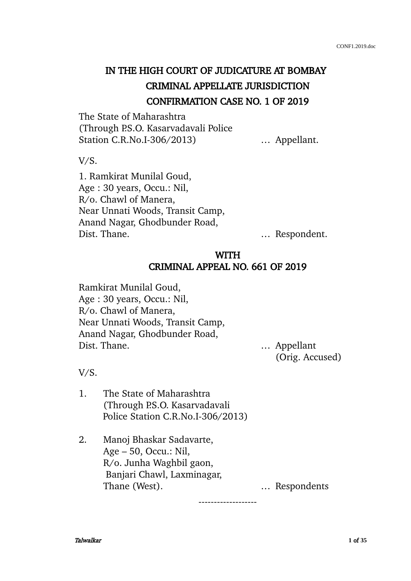# IN THE HIGH COURT OF JUDICATURE AT BOMBAY CRIMINAL APPELLATE JURISDICTION CONFIRMATION CASE NO. 1 OF 2019

The State of Maharashtra (Through P.S.O. Kasarvadavali Police Station C.R.No.I-306/2013) ... Appellant.

V/S.

1. Ramkirat Munilal Goud, Age : 30 years, Occu.: Nil, R/o. Chawl of Manera, Near Unnati Woods, Transit Camp, Anand Nagar, Ghodbunder Road, Dist. Thane. … Respondent.

## WITH CRIMINAL APPEAL NO. 661 OF 2019

Ramkirat Munilal Goud, Age : 30 years, Occu.: Nil, R/o. Chawl of Manera, Near Unnati Woods, Transit Camp, Anand Nagar, Ghodbunder Road, Dist. Thane. … Appellant

(Orig. Accused)

V/S.

- 1. The State of Maharashtra (Through P.S.O. Kasarvadavali Police Station C.R.No.I-306/2013)
- 2. Manoj Bhaskar Sadavarte, Age – 50, Occu.: Nil, R/o. Junha Waghbil gaon, Banjari Chawl, Laxminagar, Thane (West). **EXECUTE:** Thane (West).

-------------------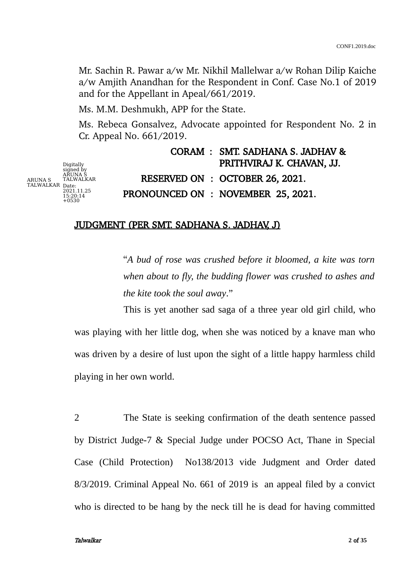Mr. Sachin R. Pawar a/w Mr. Nikhil Mallelwar a/w Rohan Dilip Kaiche a/w Amjith Anandhan for the Respondent in Conf. Case No.1 of 2019 and for the Appellant in Apeal/661/2019.

Ms. M.M. Deshmukh, APP for the State.

Ms. Rebeca Gonsalvez, Advocate appointed for Respondent No. 2 in Cr. Appeal No. 661/2019.

ARUNA S TALWALKAR Date: 2021.11.25 15:20:14 Digitally signed by ARUNA S TALWALKAR  $15:20:14$ <br>+0530

CORAM : SMT. SADHANA S. JADHAV & PRITHVIRAJ K. CHAVAN, JJ. RESERVED ON : OCTOBER 26, 2021. PRONOUNCED ON : NOVEMBER 25, 2021.

## JUDGMENT (PER SMT. SADHANA S. JADHAV, J)

"*A bud of rose was crushed before it bloomed, a kite was torn when about to fly, the budding flower was crushed to ashes and the kite took the soul away*."

This is yet another sad saga of a three year old girl child, who was playing with her little dog, when she was noticed by a knave man who was driven by a desire of lust upon the sight of a little happy harmless child playing in her own world.

2 The State is seeking confirmation of the death sentence passed by District Judge-7 & Special Judge under POCSO Act, Thane in Special Case (Child Protection) No138/2013 vide Judgment and Order dated 8/3/2019. Criminal Appeal No. 661 of 2019 is an appeal filed by a convict who is directed to be hang by the neck till he is dead for having committed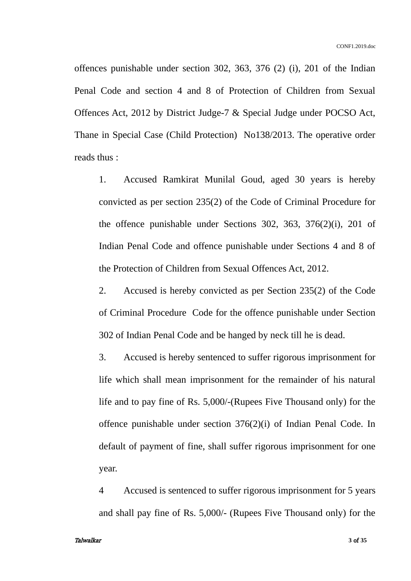offences punishable under section 302, 363, 376 (2) (i), 201 of the Indian Penal Code and section 4 and 8 of Protection of Children from Sexual Offences Act, 2012 by District Judge-7 & Special Judge under POCSO Act, Thane in Special Case (Child Protection) No138/2013. The operative order reads thus :

1. Accused Ramkirat Munilal Goud, aged 30 years is hereby convicted as per section 235(2) of the Code of Criminal Procedure for the offence punishable under Sections 302, 363, 376(2)(i), 201 of Indian Penal Code and offence punishable under Sections 4 and 8 of the Protection of Children from Sexual Offences Act, 2012.

2. Accused is hereby convicted as per Section 235(2) of the Code of Criminal Procedure Code for the offence punishable under Section 302 of Indian Penal Code and be hanged by neck till he is dead.

3. Accused is hereby sentenced to suffer rigorous imprisonment for life which shall mean imprisonment for the remainder of his natural life and to pay fine of Rs. 5,000/-(Rupees Five Thousand only) for the offence punishable under section 376(2)(i) of Indian Penal Code. In default of payment of fine, shall suffer rigorous imprisonment for one year.

4 Accused is sentenced to suffer rigorous imprisonment for 5 years and shall pay fine of Rs. 5,000/- (Rupees Five Thousand only) for the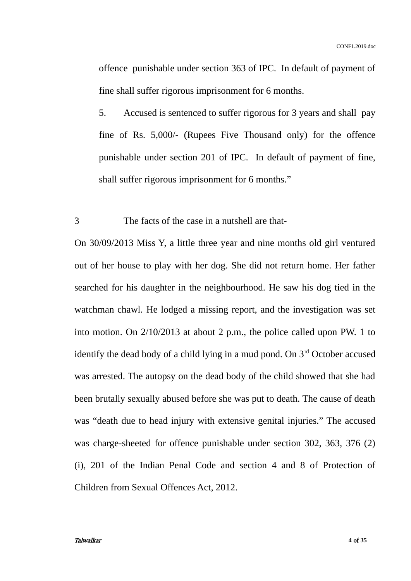offence punishable under section 363 of IPC. In default of payment of fine shall suffer rigorous imprisonment for 6 months.

5. Accused is sentenced to suffer rigorous for 3 years and shall pay fine of Rs. 5,000/- (Rupees Five Thousand only) for the offence punishable under section 201 of IPC. In default of payment of fine, shall suffer rigorous imprisonment for 6 months."

3 The facts of the case in a nutshell are that-

On 30/09/2013 Miss Y, a little three year and nine months old girl ventured out of her house to play with her dog. She did not return home. Her father searched for his daughter in the neighbourhood. He saw his dog tied in the watchman chawl. He lodged a missing report, and the investigation was set into motion. On 2/10/2013 at about 2 p.m., the police called upon PW. 1 to identify the dead body of a child lying in a mud pond. On  $3<sup>rd</sup>$  October accused was arrested. The autopsy on the dead body of the child showed that she had been brutally sexually abused before she was put to death. The cause of death was "death due to head injury with extensive genital injuries." The accused was charge-sheeted for offence punishable under section 302, 363, 376 (2) (i), 201 of the Indian Penal Code and section 4 and 8 of Protection of Children from Sexual Offences Act, 2012.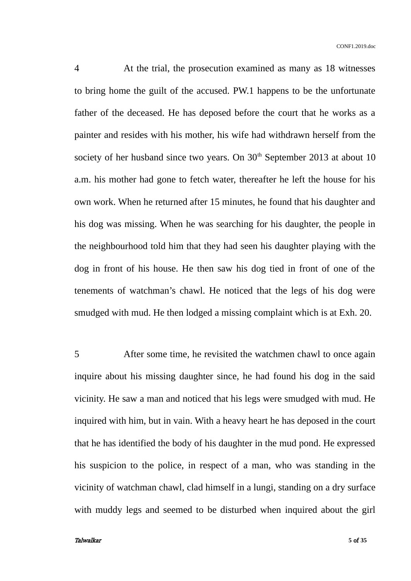4 At the trial, the prosecution examined as many as 18 witnesses to bring home the guilt of the accused. PW.1 happens to be the unfortunate father of the deceased. He has deposed before the court that he works as a painter and resides with his mother, his wife had withdrawn herself from the society of her husband since two years. On  $30<sup>th</sup>$  September 2013 at about 10 a.m. his mother had gone to fetch water, thereafter he left the house for his own work. When he returned after 15 minutes, he found that his daughter and his dog was missing. When he was searching for his daughter, the people in the neighbourhood told him that they had seen his daughter playing with the dog in front of his house. He then saw his dog tied in front of one of the tenements of watchman's chawl. He noticed that the legs of his dog were smudged with mud. He then lodged a missing complaint which is at Exh. 20.

5 After some time, he revisited the watchmen chawl to once again inquire about his missing daughter since, he had found his dog in the said vicinity. He saw a man and noticed that his legs were smudged with mud. He inquired with him, but in vain. With a heavy heart he has deposed in the court that he has identified the body of his daughter in the mud pond. He expressed his suspicion to the police, in respect of a man, who was standing in the vicinity of watchman chawl, clad himself in a lungi, standing on a dry surface with muddy legs and seemed to be disturbed when inquired about the girl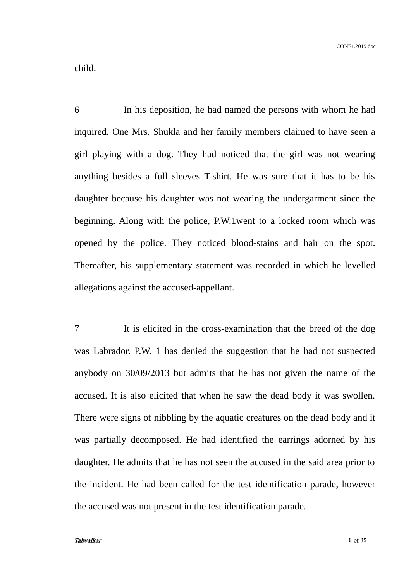child.

6 In his deposition, he had named the persons with whom he had inquired. One Mrs. Shukla and her family members claimed to have seen a girl playing with a dog. They had noticed that the girl was not wearing anything besides a full sleeves T-shirt. He was sure that it has to be his daughter because his daughter was not wearing the undergarment since the beginning. Along with the police, P.W.1went to a locked room which was opened by the police. They noticed blood-stains and hair on the spot. Thereafter, his supplementary statement was recorded in which he levelled allegations against the accused-appellant.

7 It is elicited in the cross-examination that the breed of the dog was Labrador. P.W. 1 has denied the suggestion that he had not suspected anybody on 30/09/2013 but admits that he has not given the name of the accused. It is also elicited that when he saw the dead body it was swollen. There were signs of nibbling by the aquatic creatures on the dead body and it was partially decomposed. He had identified the earrings adorned by his daughter. He admits that he has not seen the accused in the said area prior to the incident. He had been called for the test identification parade, however the accused was not present in the test identification parade.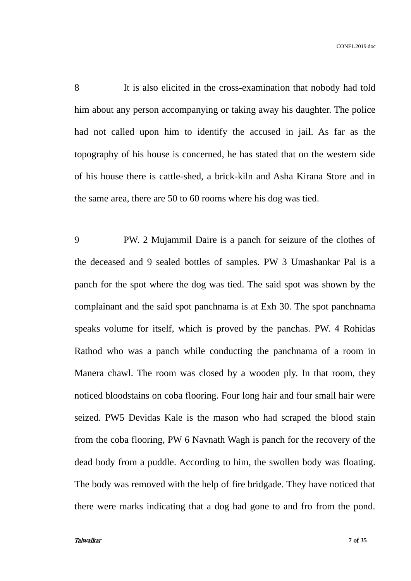8 It is also elicited in the cross-examination that nobody had told him about any person accompanying or taking away his daughter. The police had not called upon him to identify the accused in jail. As far as the topography of his house is concerned, he has stated that on the western side of his house there is cattle-shed, a brick-kiln and Asha Kirana Store and in the same area, there are 50 to 60 rooms where his dog was tied.

9 PW. 2 Mujammil Daire is a panch for seizure of the clothes of the deceased and 9 sealed bottles of samples. PW 3 Umashankar Pal is a panch for the spot where the dog was tied. The said spot was shown by the complainant and the said spot panchnama is at Exh 30. The spot panchnama speaks volume for itself, which is proved by the panchas. PW. 4 Rohidas Rathod who was a panch while conducting the panchnama of a room in Manera chawl. The room was closed by a wooden ply. In that room, they noticed bloodstains on coba flooring. Four long hair and four small hair were seized. PW5 Devidas Kale is the mason who had scraped the blood stain from the coba flooring, PW 6 Navnath Wagh is panch for the recovery of the dead body from a puddle. According to him, the swollen body was floating. The body was removed with the help of fire bridgade. They have noticed that there were marks indicating that a dog had gone to and fro from the pond.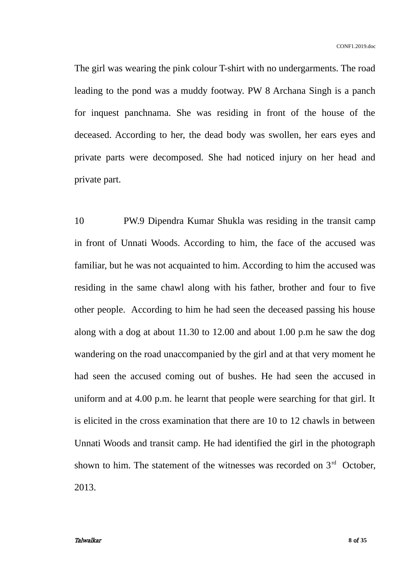CONF1.2019.doc

The girl was wearing the pink colour T-shirt with no undergarments. The road leading to the pond was a muddy footway. PW 8 Archana Singh is a panch for inquest panchnama. She was residing in front of the house of the deceased. According to her, the dead body was swollen, her ears eyes and private parts were decomposed. She had noticed injury on her head and private part.

10 PW.9 Dipendra Kumar Shukla was residing in the transit camp in front of Unnati Woods. According to him, the face of the accused was familiar, but he was not acquainted to him. According to him the accused was residing in the same chawl along with his father, brother and four to five other people. According to him he had seen the deceased passing his house along with a dog at about 11.30 to 12.00 and about 1.00 p.m he saw the dog wandering on the road unaccompanied by the girl and at that very moment he had seen the accused coming out of bushes. He had seen the accused in uniform and at 4.00 p.m. he learnt that people were searching for that girl. It is elicited in the cross examination that there are 10 to 12 chawls in between Unnati Woods and transit camp. He had identified the girl in the photograph shown to him. The statement of the witnesses was recorded on  $3<sup>rd</sup>$  October, 2013.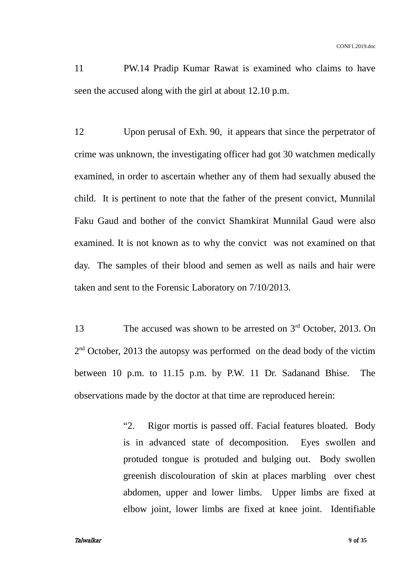11 PW.14 Pradip Kumar Rawat is examined who claims to have seen the accused along with the girl at about 12.10 p.m.

12 Upon perusal of Exh. 90, it appears that since the perpetrator of crime was unknown, the investigating officer had got 30 watchmen medically examined, in order to ascertain whether any of them had sexually abused the child. It is pertinent to note that the father of the present convict, Munnilal Faku Gaud and bother of the convict Shamkirat Munnilal Gaud were also examined. It is not known as to why the convict was not examined on that day. The samples of their blood and semen as well as nails and hair were taken and sent to the Forensic Laboratory on 7/10/2013.

13 The accused was shown to be arrested on 3<sup>rd</sup> October, 2013. On 2<sup>nd</sup> October, 2013 the autopsy was performed on the dead body of the victim between 10 p.m. to 11.15 p.m. by P.W. 11 Dr. Sadanand Bhise. The observations made by the doctor at that time are reproduced herein:

> "2. Rigor mortis is passed off. Facial features bloated. Body is in advanced state of decomposition. Eyes swollen and protuded tongue is protuded and bulging out. Body swollen greenish discolouration of skin at places marbling over chest abdomen, upper and lower limbs. Upper limbs are fixed at elbow joint, lower limbs are fixed at knee joint. Identifiable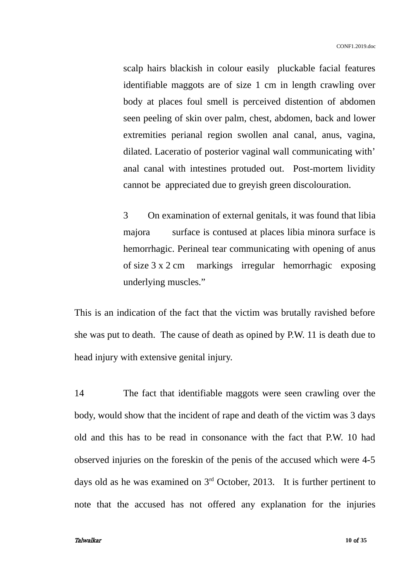scalp hairs blackish in colour easily pluckable facial features identifiable maggots are of size 1 cm in length crawling over body at places foul smell is perceived distention of abdomen seen peeling of skin over palm, chest, abdomen, back and lower extremities perianal region swollen anal canal, anus, vagina, dilated. Laceratio of posterior vaginal wall communicating with' anal canal with intestines protuded out. Post-mortem lividity cannot be appreciated due to greyish green discolouration.

3 On examination of external genitals, it was found that libia majora surface is contused at places libia minora surface is hemorrhagic. Perineal tear communicating with opening of anus of size 3 x 2 cm markings irregular hemorrhagic exposing underlying muscles."

This is an indication of the fact that the victim was brutally ravished before she was put to death. The cause of death as opined by P.W. 11 is death due to head injury with extensive genital injury.

14 The fact that identifiable maggots were seen crawling over the body, would show that the incident of rape and death of the victim was 3 days old and this has to be read in consonance with the fact that P.W. 10 had observed injuries on the foreskin of the penis of the accused which were 4-5 days old as he was examined on  $3<sup>rd</sup>$  October, 2013. It is further pertinent to note that the accused has not offered any explanation for the injuries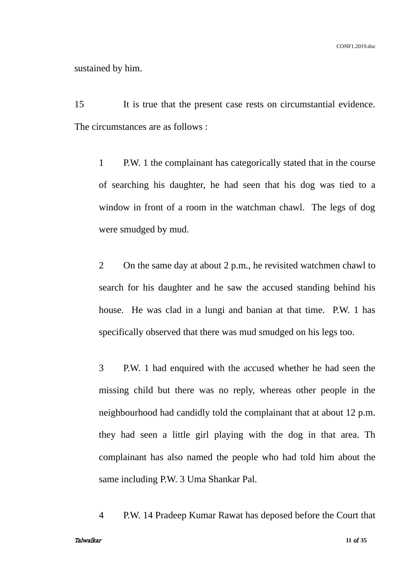### sustained by him.

15 It is true that the present case rests on circumstantial evidence. The circumstances are as follows :

1 P.W. 1 the complainant has categorically stated that in the course of searching his daughter, he had seen that his dog was tied to a window in front of a room in the watchman chawl. The legs of dog were smudged by mud.

2 On the same day at about 2 p.m., he revisited watchmen chawl to search for his daughter and he saw the accused standing behind his house. He was clad in a lungi and banian at that time. P.W. 1 has specifically observed that there was mud smudged on his legs too.

3 P.W. 1 had enquired with the accused whether he had seen the missing child but there was no reply, whereas other people in the neighbourhood had candidly told the complainant that at about 12 p.m. they had seen a little girl playing with the dog in that area. Th complainant has also named the people who had told him about the same including P.W. 3 Uma Shankar Pal.

4 P.W. 14 Pradeep Kumar Rawat has deposed before the Court that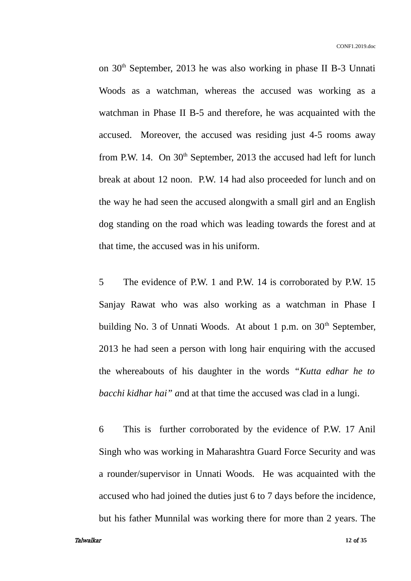on 30<sup>th</sup> September, 2013 he was also working in phase II B-3 Unnati Woods as a watchman, whereas the accused was working as a watchman in Phase II B-5 and therefore, he was acquainted with the accused. Moreover, the accused was residing just 4-5 rooms away from P.W. 14. On  $30<sup>th</sup>$  September, 2013 the accused had left for lunch break at about 12 noon. P.W. 14 had also proceeded for lunch and on the way he had seen the accused alongwith a small girl and an English dog standing on the road which was leading towards the forest and at that time, the accused was in his uniform.

5 The evidence of P.W. 1 and P.W. 14 is corroborated by P.W. 15 Sanjay Rawat who was also working as a watchman in Phase I building No. 3 of Unnati Woods. At about 1 p.m. on  $30<sup>th</sup>$  September, 2013 he had seen a person with long hair enquiring with the accused the whereabouts of his daughter in the words *"Kutta edhar he to bacchi kidhar hai" a*nd at that time the accused was clad in a lungi.

6 This is further corroborated by the evidence of P.W. 17 Anil Singh who was working in Maharashtra Guard Force Security and was a rounder/supervisor in Unnati Woods. He was acquainted with the accused who had joined the duties just 6 to 7 days before the incidence, but his father Munnilal was working there for more than 2 years. The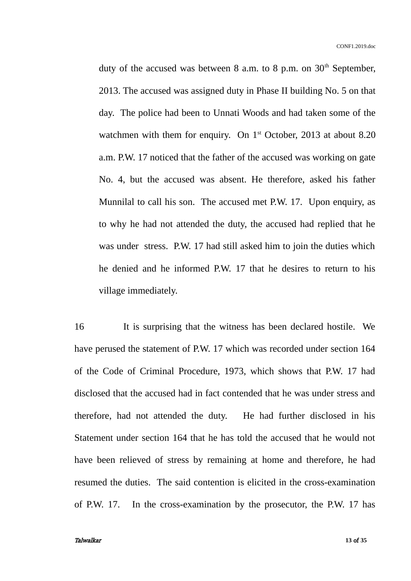duty of the accused was between 8 a.m. to 8 p.m. on  $30<sup>th</sup>$  September, 2013. The accused was assigned duty in Phase II building No. 5 on that day. The police had been to Unnati Woods and had taken some of the watchmen with them for enquiry. On  $1<sup>st</sup>$  October, 2013 at about 8.20 a.m. P.W. 17 noticed that the father of the accused was working on gate No. 4, but the accused was absent. He therefore, asked his father Munnilal to call his son. The accused met P.W. 17. Upon enquiry, as to why he had not attended the duty, the accused had replied that he was under stress. P.W. 17 had still asked him to join the duties which he denied and he informed P.W. 17 that he desires to return to his village immediately.

16 It is surprising that the witness has been declared hostile. We have perused the statement of P.W. 17 which was recorded under section 164 of the Code of Criminal Procedure, 1973, which shows that P.W. 17 had disclosed that the accused had in fact contended that he was under stress and therefore, had not attended the duty. He had further disclosed in his Statement under section 164 that he has told the accused that he would not have been relieved of stress by remaining at home and therefore, he had resumed the duties. The said contention is elicited in the cross-examination of P.W. 17. In the cross-examination by the prosecutor, the P.W. 17 has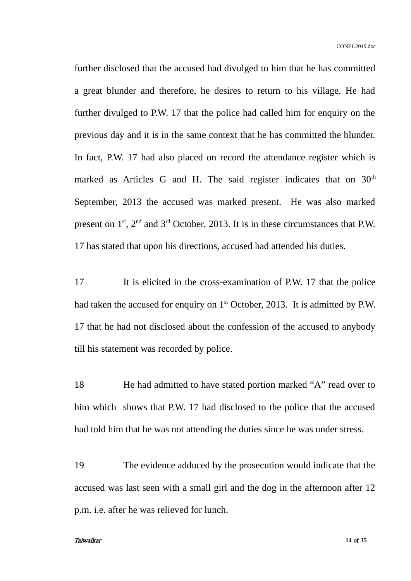further disclosed that the accused had divulged to him that he has committed a great blunder and therefore, he desires to return to his village. He had further divulged to P.W. 17 that the police had called him for enquiry on the previous day and it is in the same context that he has committed the blunder. In fact, P.W. 17 had also placed on record the attendance register which is marked as Articles G and H. The said register indicates that on  $30<sup>th</sup>$ September, 2013 the accused was marked present. He was also marked present on  $1<sup>st</sup>$ ,  $2<sup>nd</sup>$  and  $3<sup>rd</sup>$  October, 2013. It is in these circumstances that P.W. 17 has stated that upon his directions, accused had attended his duties.

17 It is elicited in the cross-examination of P.W. 17 that the police had taken the accused for enquiry on  $1<sup>st</sup>$  October, 2013. It is admitted by P.W. 17 that he had not disclosed about the confession of the accused to anybody till his statement was recorded by police.

18 He had admitted to have stated portion marked "A" read over to him which shows that P.W. 17 had disclosed to the police that the accused had told him that he was not attending the duties since he was under stress.

19 The evidence adduced by the prosecution would indicate that the accused was last seen with a small girl and the dog in the afternoon after 12 p.m. i.e. after he was relieved for lunch.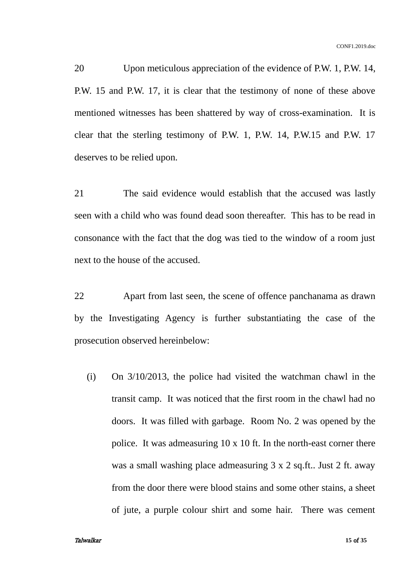20 Upon meticulous appreciation of the evidence of P.W. 1, P.W. 14, P.W. 15 and P.W. 17, it is clear that the testimony of none of these above mentioned witnesses has been shattered by way of cross-examination. It is clear that the sterling testimony of P.W. 1, P.W. 14, P.W.15 and P.W. 17 deserves to be relied upon.

21 The said evidence would establish that the accused was lastly seen with a child who was found dead soon thereafter. This has to be read in consonance with the fact that the dog was tied to the window of a room just next to the house of the accused.

22 Apart from last seen, the scene of offence panchanama as drawn by the Investigating Agency is further substantiating the case of the prosecution observed hereinbelow:

(i) On 3/10/2013, the police had visited the watchman chawl in the transit camp. It was noticed that the first room in the chawl had no doors. It was filled with garbage. Room No. 2 was opened by the police. It was admeasuring  $10 \times 10$  ft. In the north-east corner there was a small washing place admeasuring 3 x 2 sq.ft.. Just 2 ft. away from the door there were blood stains and some other stains, a sheet of jute, a purple colour shirt and some hair. There was cement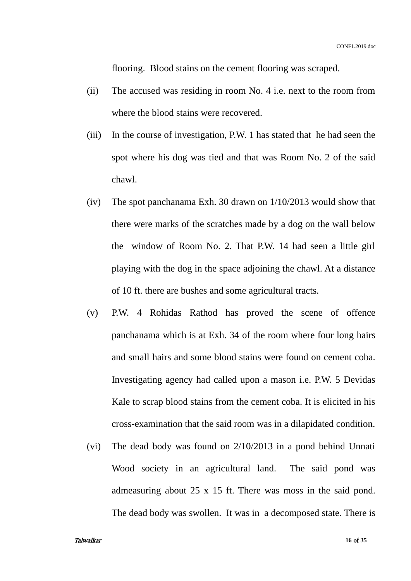flooring. Blood stains on the cement flooring was scraped.

- (ii) The accused was residing in room No. 4 i.e. next to the room from where the blood stains were recovered.
- (iii) In the course of investigation, P.W. 1 has stated that he had seen the spot where his dog was tied and that was Room No. 2 of the said chawl.
- (iv) The spot panchanama Exh. 30 drawn on 1/10/2013 would show that there were marks of the scratches made by a dog on the wall below the window of Room No. 2. That P.W. 14 had seen a little girl playing with the dog in the space adjoining the chawl. At a distance of 10 ft. there are bushes and some agricultural tracts.
- (v) P.W. 4 Rohidas Rathod has proved the scene of offence panchanama which is at Exh. 34 of the room where four long hairs and small hairs and some blood stains were found on cement coba. Investigating agency had called upon a mason i.e. P.W. 5 Devidas Kale to scrap blood stains from the cement coba. It is elicited in his cross-examination that the said room was in a dilapidated condition.
- (vi) The dead body was found on 2/10/2013 in a pond behind Unnati Wood society in an agricultural land. The said pond was admeasuring about 25 x 15 ft. There was moss in the said pond. The dead body was swollen. It was in a decomposed state. There is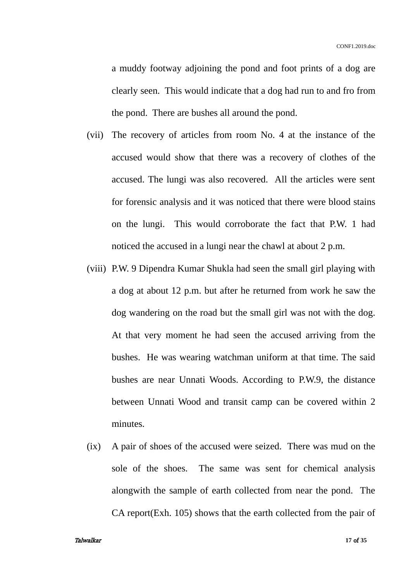a muddy footway adjoining the pond and foot prints of a dog are clearly seen. This would indicate that a dog had run to and fro from the pond. There are bushes all around the pond.

- (vii) The recovery of articles from room No. 4 at the instance of the accused would show that there was a recovery of clothes of the accused. The lungi was also recovered. All the articles were sent for forensic analysis and it was noticed that there were blood stains on the lungi. This would corroborate the fact that P.W. 1 had noticed the accused in a lungi near the chawl at about 2 p.m.
- (viii) P.W. 9 Dipendra Kumar Shukla had seen the small girl playing with a dog at about 12 p.m. but after he returned from work he saw the dog wandering on the road but the small girl was not with the dog. At that very moment he had seen the accused arriving from the bushes. He was wearing watchman uniform at that time. The said bushes are near Unnati Woods. According to P.W.9, the distance between Unnati Wood and transit camp can be covered within 2 minutes.
- (ix) A pair of shoes of the accused were seized. There was mud on the sole of the shoes. The same was sent for chemical analysis alongwith the sample of earth collected from near the pond. The CA report(Exh. 105) shows that the earth collected from the pair of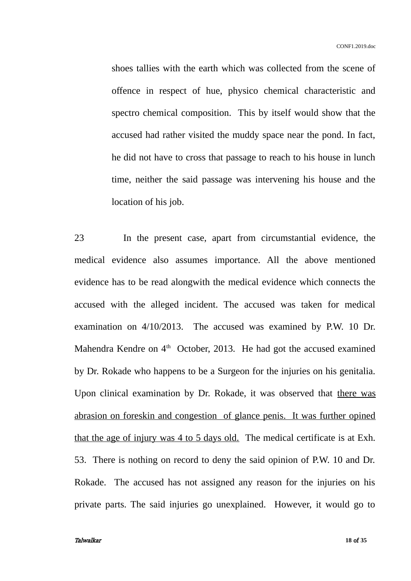shoes tallies with the earth which was collected from the scene of offence in respect of hue, physico chemical characteristic and spectro chemical composition. This by itself would show that the accused had rather visited the muddy space near the pond. In fact, he did not have to cross that passage to reach to his house in lunch time, neither the said passage was intervening his house and the location of his job.

23 In the present case, apart from circumstantial evidence, the medical evidence also assumes importance. All the above mentioned evidence has to be read alongwith the medical evidence which connects the accused with the alleged incident. The accused was taken for medical examination on 4/10/2013. The accused was examined by P.W. 10 Dr. Mahendra Kendre on 4<sup>th</sup> October, 2013. He had got the accused examined by Dr. Rokade who happens to be a Surgeon for the injuries on his genitalia. Upon clinical examination by Dr. Rokade, it was observed that there was abrasion on foreskin and congestion of glance penis. It was further opined that the age of injury was 4 to 5 days old. The medical certificate is at Exh. 53. There is nothing on record to deny the said opinion of P.W. 10 and Dr. Rokade. The accused has not assigned any reason for the injuries on his private parts. The said injuries go unexplained. However, it would go to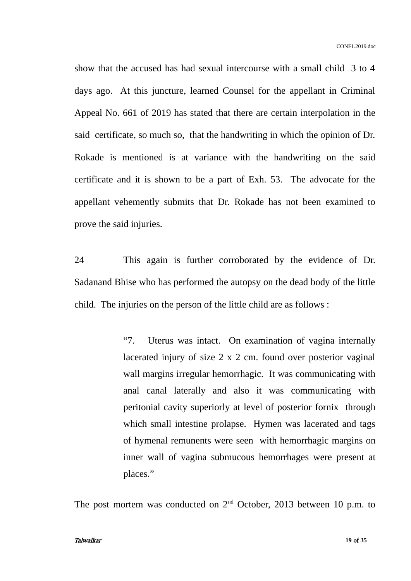show that the accused has had sexual intercourse with a small child 3 to 4 days ago. At this juncture, learned Counsel for the appellant in Criminal Appeal No. 661 of 2019 has stated that there are certain interpolation in the said certificate, so much so, that the handwriting in which the opinion of Dr. Rokade is mentioned is at variance with the handwriting on the said certificate and it is shown to be a part of Exh. 53. The advocate for the appellant vehemently submits that Dr. Rokade has not been examined to prove the said injuries.

24 This again is further corroborated by the evidence of Dr. Sadanand Bhise who has performed the autopsy on the dead body of the little child. The injuries on the person of the little child are as follows :

> "7. Uterus was intact. On examination of vagina internally lacerated injury of size 2 x 2 cm. found over posterior vaginal wall margins irregular hemorrhagic. It was communicating with anal canal laterally and also it was communicating with peritonial cavity superiorly at level of posterior fornix through which small intestine prolapse. Hymen was lacerated and tags of hymenal remunents were seen with hemorrhagic margins on inner wall of vagina submucous hemorrhages were present at places."

The post mortem was conducted on  $2<sup>nd</sup>$  October, 2013 between 10 p.m. to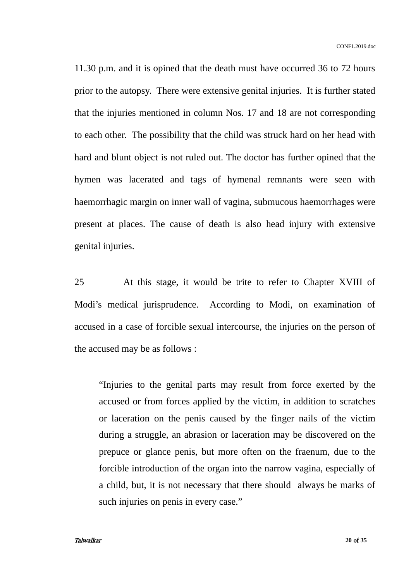11.30 p.m. and it is opined that the death must have occurred 36 to 72 hours prior to the autopsy. There were extensive genital injuries. It is further stated that the injuries mentioned in column Nos. 17 and 18 are not corresponding to each other. The possibility that the child was struck hard on her head with hard and blunt object is not ruled out. The doctor has further opined that the hymen was lacerated and tags of hymenal remnants were seen with haemorrhagic margin on inner wall of vagina, submucous haemorrhages were present at places. The cause of death is also head injury with extensive genital injuries.

25 At this stage, it would be trite to refer to Chapter XVIII of Modi's medical jurisprudence. According to Modi, on examination of accused in a case of forcible sexual intercourse, the injuries on the person of the accused may be as follows :

"Injuries to the genital parts may result from force exerted by the accused or from forces applied by the victim, in addition to scratches or laceration on the penis caused by the finger nails of the victim during a struggle, an abrasion or laceration may be discovered on the prepuce or glance penis, but more often on the fraenum, due to the forcible introduction of the organ into the narrow vagina, especially of a child, but, it is not necessary that there should always be marks of such injuries on penis in every case."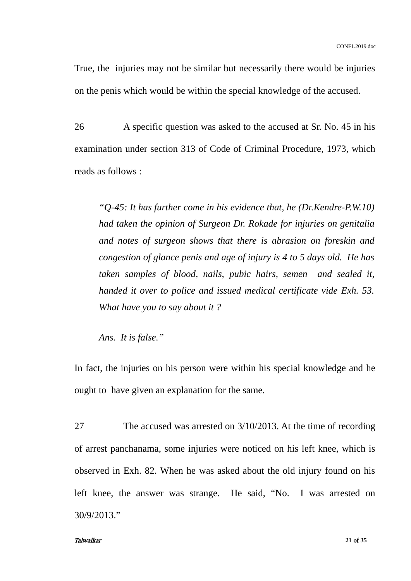True, the injuries may not be similar but necessarily there would be injuries on the penis which would be within the special knowledge of the accused.

26 A specific question was asked to the accused at Sr. No. 45 in his examination under section 313 of Code of Criminal Procedure, 1973, which reads as follows :

*"Q-45: It has further come in his evidence that, he (Dr.Kendre-P.W.10) had taken the opinion of Surgeon Dr. Rokade for injuries on genitalia and notes of surgeon shows that there is abrasion on foreskin and congestion of glance penis and age of injury is 4 to 5 days old. He has taken samples of blood, nails, pubic hairs, semen and sealed it, handed it over to police and issued medical certificate vide Exh. 53. What have you to say about it ?*

*Ans. It is false."* 

In fact, the injuries on his person were within his special knowledge and he ought to have given an explanation for the same.

27 The accused was arrested on 3/10/2013. At the time of recording of arrest panchanama, some injuries were noticed on his left knee, which is observed in Exh. 82. When he was asked about the old injury found on his left knee, the answer was strange. He said, "No. I was arrested on 30/9/2013."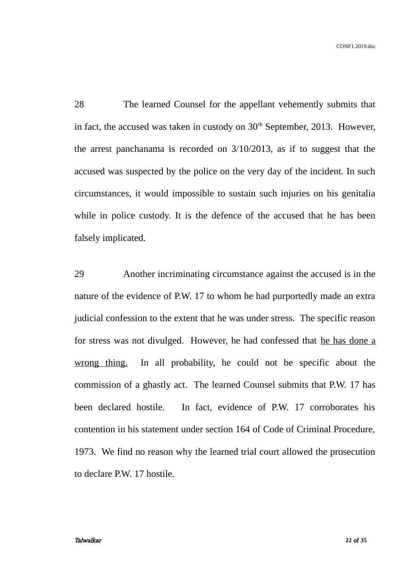28 The learned Counsel for the appellant vehemently submits that in fact, the accused was taken in custody on  $30<sup>th</sup>$  September, 2013. However, the arrest panchanama is recorded on 3/10/2013, as if to suggest that the accused was suspected by the police on the very day of the incident. In such circumstances, it would impossible to sustain such injuries on his genitalia while in police custody. It is the defence of the accused that he has been falsely implicated.

29 Another incriminating circumstance against the accused is in the nature of the evidence of P.W. 17 to whom he had purportedly made an extra judicial confession to the extent that he was under stress. The specific reason for stress was not divulged. However, he had confessed that he has done a wrong thing. In all probability, he could not be specific about the commission of a ghastly act. The learned Counsel submits that P.W. 17 has been declared hostile. In fact, evidence of P.W. 17 corroborates his contention in his statement under section 164 of Code of Criminal Procedure, 1973. We find no reason why the learned trial court allowed the prosecution to declare P.W. 17 hostile.

#### Talwalkar **22** of **35**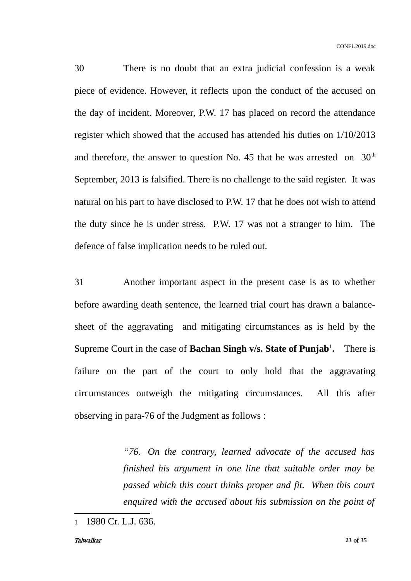30 There is no doubt that an extra judicial confession is a weak piece of evidence. However, it reflects upon the conduct of the accused on the day of incident. Moreover, P.W. 17 has placed on record the attendance register which showed that the accused has attended his duties on 1/10/2013 and therefore, the answer to question No. 45 that he was arrested on  $30<sup>th</sup>$ September, 2013 is falsified. There is no challenge to the said register. It was natural on his part to have disclosed to P.W. 17 that he does not wish to attend the duty since he is under stress. P.W. 17 was not a stranger to him. The defence of false implication needs to be ruled out.

31 Another important aspect in the present case is as to whether before awarding death sentence, the learned trial court has drawn a balancesheet of the aggravating and mitigating circumstances as is held by the Supreme Court in the case of **Bachan Singh v/s. State of Punjab[1](#page-22-0) .** There is failure on the part of the court to only hold that the aggravating circumstances outweigh the mitigating circumstances. All this after observing in para-76 of the Judgment as follows :

> *"76. On the contrary, learned advocate of the accused has finished his argument in one line that suitable order may be passed which this court thinks proper and fit. When this court enquired with the accused about his submission on the point of*

#### Talwalkar **23** of **35**

<span id="page-22-0"></span><sup>1</sup> 1980 Cr. L.J. 636.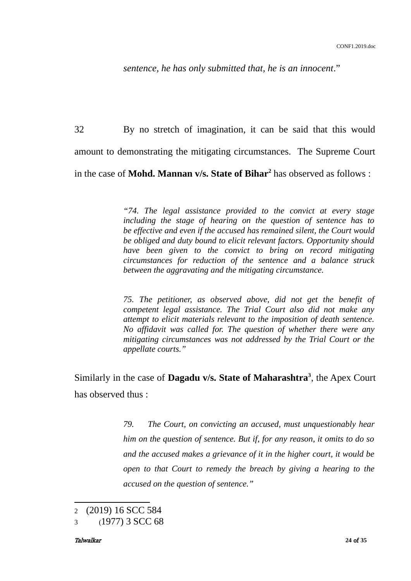*sentence, he has only submitted that, he is an innocent*."

32 By no stretch of imagination, it can be said that this would amount to demonstrating the mitigating circumstances. The Supreme Court in the case of **Mohd. Mannan v/s. State of Bihar[2](#page-23-0)** has observed as follows :

> *"74. The legal assistance provided to the convict at every stage including the stage of hearing on the question of sentence has to be effective and even if the accused has remained silent, the Court would be obliged and duty bound to elicit relevant factors. Opportunity should have been given to the convict to bring on record mitigating circumstances for reduction of the sentence and a balance struck between the aggravating and the mitigating circumstance.*

> *75. The petitioner, as observed above, did not get the benefit of competent legal assistance. The Trial Court also did not make any attempt to elicit materials relevant to the imposition of death sentence. No affidavit was called for. The question of whether there were any mitigating circumstances was not addressed by the Trial Court or the appellate courts."*

Similarly in the case of **Dagadu v/s. State of Maharashtra[3](#page-23-1)** , the Apex Court has observed thus :

> *79. The Court, on convicting an accused, must unquestionably hear him on the question of sentence. But if, for any reason, it omits to do so and the accused makes a grievance of it in the higher court, it would be open to that Court to remedy the breach by giving a hearing to the accused on the question of sentence."*

<span id="page-23-0"></span><sup>2</sup> (2019) 16 SCC 584

<span id="page-23-1"></span><sup>3</sup> (1977) 3 SCC 68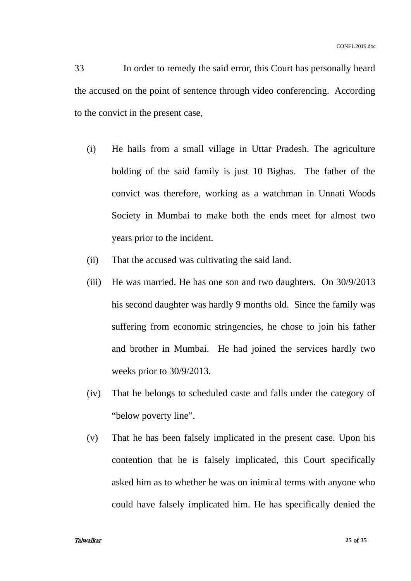33 In order to remedy the said error, this Court has personally heard the accused on the point of sentence through video conferencing. According to the convict in the present case,

- (i) He hails from a small village in Uttar Pradesh. The agriculture holding of the said family is just 10 Bighas. The father of the convict was therefore, working as a watchman in Unnati Woods Society in Mumbai to make both the ends meet for almost two years prior to the incident.
- (ii) That the accused was cultivating the said land.
- (iii) He was married. He has one son and two daughters. On 30/9/2013 his second daughter was hardly 9 months old. Since the family was suffering from economic stringencies, he chose to join his father and brother in Mumbai. He had joined the services hardly two weeks prior to 30/9/2013.
- (iv) That he belongs to scheduled caste and falls under the category of "below poverty line".
- (v) That he has been falsely implicated in the present case. Upon his contention that he is falsely implicated, this Court specifically asked him as to whether he was on inimical terms with anyone who could have falsely implicated him. He has specifically denied the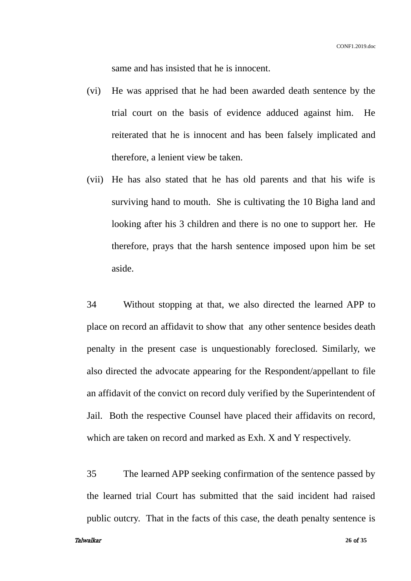same and has insisted that he is innocent.

- (vi) He was apprised that he had been awarded death sentence by the trial court on the basis of evidence adduced against him. He reiterated that he is innocent and has been falsely implicated and therefore, a lenient view be taken.
- (vii) He has also stated that he has old parents and that his wife is surviving hand to mouth. She is cultivating the 10 Bigha land and looking after his 3 children and there is no one to support her. He therefore, prays that the harsh sentence imposed upon him be set aside.

34 Without stopping at that, we also directed the learned APP to place on record an affidavit to show that any other sentence besides death penalty in the present case is unquestionably foreclosed. Similarly, we also directed the advocate appearing for the Respondent/appellant to file an affidavit of the convict on record duly verified by the Superintendent of Jail. Both the respective Counsel have placed their affidavits on record, which are taken on record and marked as Exh. X and Y respectively.

35 The learned APP seeking confirmation of the sentence passed by the learned trial Court has submitted that the said incident had raised public outcry. That in the facts of this case, the death penalty sentence is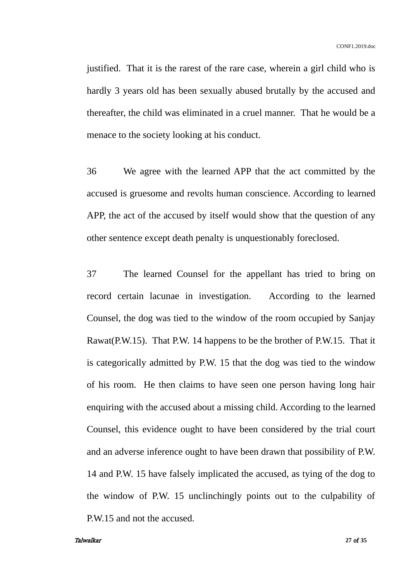justified. That it is the rarest of the rare case, wherein a girl child who is hardly 3 years old has been sexually abused brutally by the accused and thereafter, the child was eliminated in a cruel manner. That he would be a menace to the society looking at his conduct.

36 We agree with the learned APP that the act committed by the accused is gruesome and revolts human conscience. According to learned APP, the act of the accused by itself would show that the question of any other sentence except death penalty is unquestionably foreclosed.

37 The learned Counsel for the appellant has tried to bring on record certain lacunae in investigation. According to the learned Counsel, the dog was tied to the window of the room occupied by Sanjay Rawat(P.W.15). That P.W. 14 happens to be the brother of P.W.15. That it is categorically admitted by P.W. 15 that the dog was tied to the window of his room. He then claims to have seen one person having long hair enquiring with the accused about a missing child. According to the learned Counsel, this evidence ought to have been considered by the trial court and an adverse inference ought to have been drawn that possibility of P.W. 14 and P.W. 15 have falsely implicated the accused, as tying of the dog to the window of P.W. 15 unclinchingly points out to the culpability of P.W.15 and not the accused.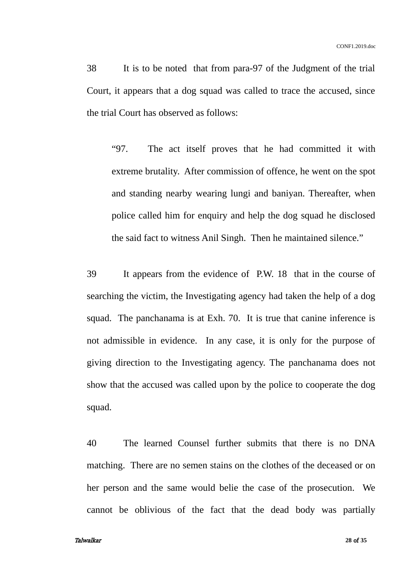38 It is to be noted that from para-97 of the Judgment of the trial Court, it appears that a dog squad was called to trace the accused, since the trial Court has observed as follows:

"97. The act itself proves that he had committed it with extreme brutality. After commission of offence, he went on the spot and standing nearby wearing lungi and baniyan. Thereafter, when police called him for enquiry and help the dog squad he disclosed the said fact to witness Anil Singh. Then he maintained silence."

39 It appears from the evidence of P.W. 18 that in the course of searching the victim, the Investigating agency had taken the help of a dog squad. The panchanama is at Exh. 70. It is true that canine inference is not admissible in evidence. In any case, it is only for the purpose of giving direction to the Investigating agency. The panchanama does not show that the accused was called upon by the police to cooperate the dog squad.

40 The learned Counsel further submits that there is no DNA matching. There are no semen stains on the clothes of the deceased or on her person and the same would belie the case of the prosecution. We cannot be oblivious of the fact that the dead body was partially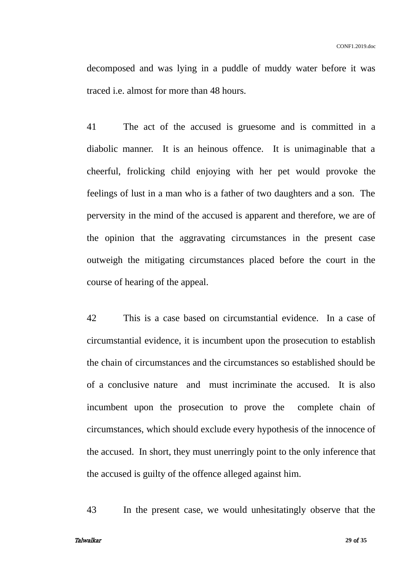decomposed and was lying in a puddle of muddy water before it was traced i.e. almost for more than 48 hours.

41 The act of the accused is gruesome and is committed in a diabolic manner. It is an heinous offence. It is unimaginable that a cheerful, frolicking child enjoying with her pet would provoke the feelings of lust in a man who is a father of two daughters and a son. The perversity in the mind of the accused is apparent and therefore, we are of the opinion that the aggravating circumstances in the present case outweigh the mitigating circumstances placed before the court in the course of hearing of the appeal.

42 This is a case based on circumstantial evidence. In a case of circumstantial evidence, it is incumbent upon the prosecution to establish the chain of circumstances and the circumstances so established should be of a conclusive nature and must incriminate the accused. It is also incumbent upon the prosecution to prove the complete chain of circumstances, which should exclude every hypothesis of the innocence of the accused. In short, they must unerringly point to the only inference that the accused is guilty of the offence alleged against him.

43 In the present case, we would unhesitatingly observe that the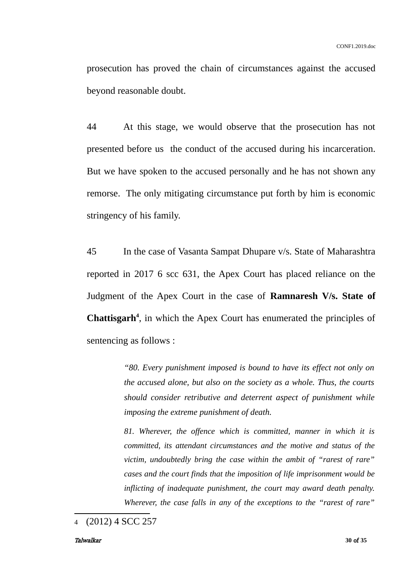prosecution has proved the chain of circumstances against the accused beyond reasonable doubt.

44 At this stage, we would observe that the prosecution has not presented before us the conduct of the accused during his incarceration. But we have spoken to the accused personally and he has not shown any remorse. The only mitigating circumstance put forth by him is economic stringency of his family.

45 In the case of Vasanta Sampat Dhupare v/s. State of Maharashtra reported in 2017 6 scc 631, the Apex Court has placed reliance on the Judgment of the Apex Court in the case of **Ramnaresh V/s. State of Chattisgarh[4](#page-29-0)** , in which the Apex Court has enumerated the principles of sentencing as follows :

> *"80. Every punishment imposed is bound to have its effect not only on the accused alone, but also on the society as a whole. Thus, the courts should consider retributive and deterrent aspect of punishment while imposing the extreme punishment of death.*

> *81. Wherever, the offence which is committed, manner in which it is committed, its attendant circumstances and the motive and status of the victim, undoubtedly bring the case within the ambit of "rarest of rare" cases and the court finds that the imposition of life imprisonment would be inflicting of inadequate punishment, the court may award death penalty. Wherever, the case falls in any of the exceptions to the "rarest of rare"*

<span id="page-29-0"></span><sup>4</sup> (2012) 4 SCC 257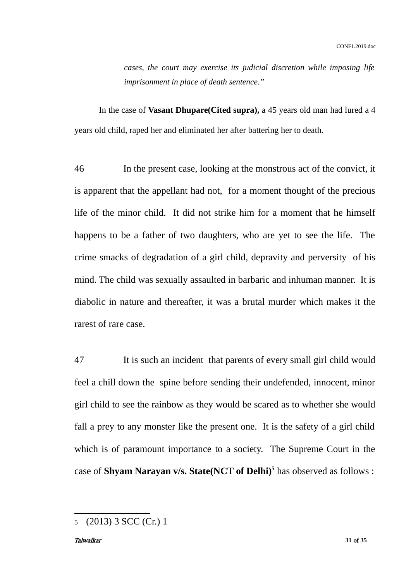*cases, the court may exercise its judicial discretion while imposing life imprisonment in place of death sentence."* 

In the case of **Vasant Dhupare(Cited supra),** a 45 years old man had lured a 4 years old child, raped her and eliminated her after battering her to death.

46 In the present case, looking at the monstrous act of the convict, it is apparent that the appellant had not, for a moment thought of the precious life of the minor child. It did not strike him for a moment that he himself happens to be a father of two daughters, who are yet to see the life. The crime smacks of degradation of a girl child, depravity and perversity of his mind. The child was sexually assaulted in barbaric and inhuman manner. It is diabolic in nature and thereafter, it was a brutal murder which makes it the rarest of rare case.

47 It is such an incident that parents of every small girl child would feel a chill down the spine before sending their undefended, innocent, minor girl child to see the rainbow as they would be scared as to whether she would fall a prey to any monster like the present one. It is the safety of a girl child which is of paramount importance to a society. The Supreme Court in the case of **Shyam Narayan v/s. State(NCT of Delhi)[5](#page-30-0)** has observed as follows :

<span id="page-30-0"></span><sup>5</sup> (2013) 3 SCC (Cr.) 1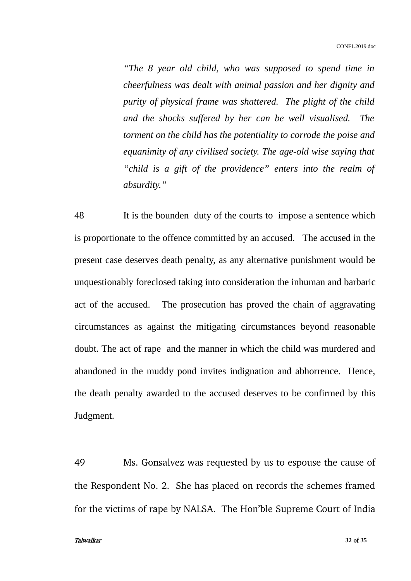*"The 8 year old child, who was supposed to spend time in cheerfulness was dealt with animal passion and her dignity and purity of physical frame was shattered. The plight of the child and the shocks suffered by her can be well visualised. The torment on the child has the potentiality to corrode the poise and equanimity of any civilised society. The age-old wise saying that "child is a gift of the providence" enters into the realm of absurdity."*

48 It is the bounden duty of the courts to impose a sentence which is proportionate to the offence committed by an accused. The accused in the present case deserves death penalty, as any alternative punishment would be unquestionably foreclosed taking into consideration the inhuman and barbaric act of the accused. The prosecution has proved the chain of aggravating circumstances as against the mitigating circumstances beyond reasonable doubt. The act of rape and the manner in which the child was murdered and abandoned in the muddy pond invites indignation and abhorrence. Hence, the death penalty awarded to the accused deserves to be confirmed by this Judgment.

49 Ms. Gonsalvez was requested by us to espouse the cause of the Respondent No. 2. She has placed on records the schemes framed for the victims of rape by NALSA. The Hon'ble Supreme Court of India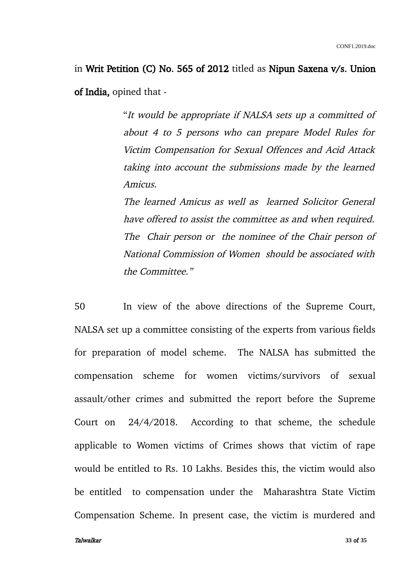in Writ Petition (C) No. 565 of 2012 titled as Nipun Saxena v/s. Union of India, opined that -

> "It would be appropriate if NALSA sets up a committed of about 4 to 5 persons who can prepare Model Rules for Victim Compensation for Sexual Offences and Acid Attack taking into account the submissions made by the learned Amicus.

> The learned Amicus as well as learned Solicitor General have offered to assist the committee as and when required. The Chair person or the nominee of the Chair person of National Commission of Women should be associated with the Committee."

50 In view of the above directions of the Supreme Court, NALSA set up a committee consisting of the experts from various fields for preparation of model scheme. The NALSA has submitted the compensation scheme for women victims/survivors of sexual assault/other crimes and submitted the report before the Supreme Court on 24/4/2018. According to that scheme, the schedule applicable to Women victims of Crimes shows that victim of rape would be entitled to Rs. 10 Lakhs. Besides this, the victim would also be entitled to compensation under the Maharashtra State Victim Compensation Scheme. In present case, the victim is murdered and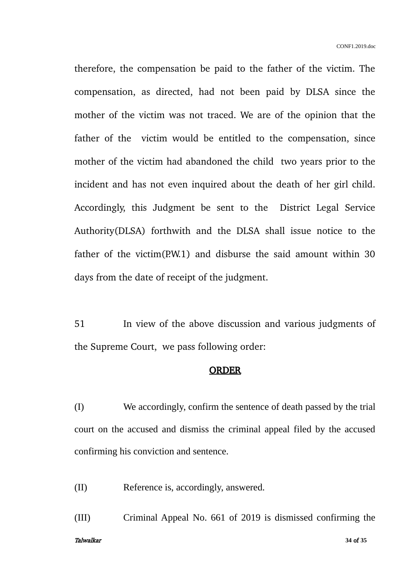therefore, the compensation be paid to the father of the victim. The compensation, as directed, had not been paid by DLSA since the mother of the victim was not traced. We are of the opinion that the father of the victim would be entitled to the compensation, since mother of the victim had abandoned the child two years prior to the incident and has not even inquired about the death of her girl child. Accordingly, this Judgment be sent to the District Legal Service Authority(DLSA) forthwith and the DLSA shall issue notice to the father of the victim $(P.W.1)$  and disburse the said amount within 30 days from the date of receipt of the judgment.

51 In view of the above discussion and various judgments of the Supreme Court, we pass following order:

### ORDER

(I) We accordingly, confirm the sentence of death passed by the trial court on the accused and dismiss the criminal appeal filed by the accused confirming his conviction and sentence.

(II) Reference is, accordingly, answered.

(III) Criminal Appeal No. 661 of 2019 is dismissed confirming the Talwalkar **34** of **35**